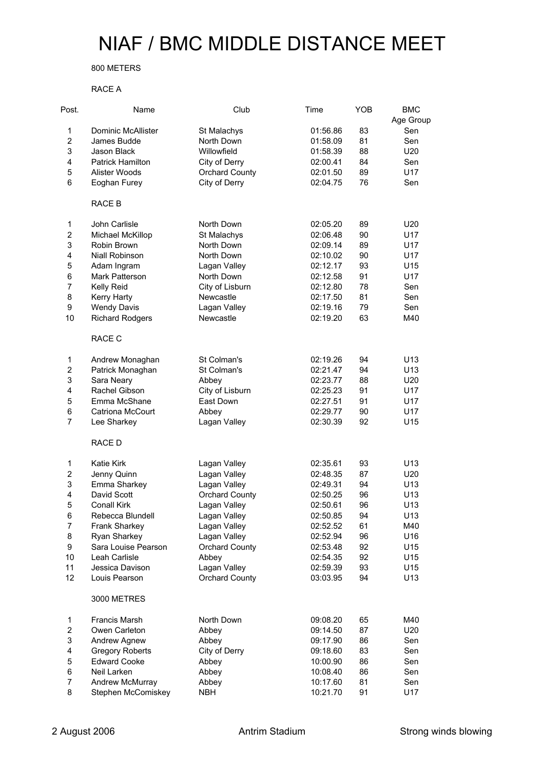## NIAF / BMC MIDDLE DISTANCE MEET

## 800 METERS

## RACE A

| Post.          | Name                    | Club                  | Time     | YOB | <b>BMC</b>       |
|----------------|-------------------------|-----------------------|----------|-----|------------------|
| 1              | Dominic McAllister      | St Malachys           | 01:56.86 | 83  | Age Group<br>Sen |
| $\overline{c}$ | James Budde             | North Down            | 01:58.09 | 81  | Sen              |
| 3              | Jason Black             | Willowfield           | 01:58.39 | 88  | U20              |
| 4              | <b>Patrick Hamilton</b> | City of Derry         | 02:00.41 | 84  | Sen              |
|                | Alister Woods           |                       |          |     |                  |
| 5              |                         | <b>Orchard County</b> | 02:01.50 | 89  | U17              |
| 6              | Eoghan Furey            | City of Derry         | 02:04.75 | 76  | Sen              |
|                | RACE B                  |                       |          |     |                  |
| 1              | John Carlisle           | North Down            | 02:05.20 | 89  | U20              |
| $\overline{c}$ | Michael McKillop        | St Malachys           | 02:06.48 | 90  | U17              |
| 3              | Robin Brown             | North Down            | 02:09.14 | 89  | U17              |
| $\overline{4}$ | Niall Robinson          | North Down            | 02:10.02 | 90  | U17              |
| 5              | Adam Ingram             | Lagan Valley          | 02:12.17 | 93  | U15              |
| 6              | Mark Patterson          | North Down            | 02:12.58 | 91  | U17              |
| $\overline{7}$ | Kelly Reid              | City of Lisburn       | 02:12.80 | 78  | Sen              |
| 8              | Kerry Harty             | Newcastle             | 02:17.50 | 81  | Sen              |
| 9              | <b>Wendy Davis</b>      | Lagan Valley          | 02:19.16 | 79  | Sen              |
| 10             | <b>Richard Rodgers</b>  | Newcastle             | 02:19.20 | 63  | M40              |
|                | RACE C                  |                       |          |     |                  |
| 1              | Andrew Monaghan         | St Colman's           | 02:19.26 | 94  | U <sub>13</sub>  |
| $\overline{c}$ | Patrick Monaghan        | St Colman's           | 02:21.47 | 94  | U13              |
| 3              | Sara Neary              | Abbey                 | 02:23.77 | 88  | U20              |
| $\overline{4}$ | Rachel Gibson           | City of Lisburn       | 02:25.23 | 91  | U17              |
| 5              | Emma McShane            | East Down             | 02:27.51 | 91  | U17              |
| 6              | Catriona McCourt        | Abbey                 | 02:29.77 | 90  | U17              |
| $\overline{7}$ | Lee Sharkey             | Lagan Valley          | 02:30.39 | 92  | U15              |
|                | RACE D                  |                       |          |     |                  |
| 1              | Katie Kirk              | Lagan Valley          | 02:35.61 | 93  | U <sub>13</sub>  |
| $\overline{c}$ | Jenny Quinn             | Lagan Valley          | 02:48.35 | 87  | U20              |
| 3              | Emma Sharkey            | Lagan Valley          | 02:49.31 | 94  | U <sub>13</sub>  |
| $\overline{4}$ | David Scott             | <b>Orchard County</b> | 02:50.25 | 96  | U13              |
| 5              | <b>Conall Kirk</b>      | Lagan Valley          | 02:50.61 | 96  | U <sub>13</sub>  |
| 6              | Rebecca Blundell        | Lagan Valley          | 02:50.85 | 94  | U13              |
| 7              | Frank Sharkey           | Lagan Valley          | 02:52.52 | 61  | M40              |
| 8              | Ryan Sharkey            | Lagan Valley          | 02:52.94 | 96  | U16              |
| 9              | Sara Louise Pearson     | <b>Orchard County</b> | 02:53.48 | 92  | U15              |
| 10             | Leah Carlisle           | Abbey                 | 02:54.35 | 92  | U15              |
| 11             | Jessica Davison         | Lagan Valley          | 02:59.39 | 93  | U15              |
| 12             | Louis Pearson           | <b>Orchard County</b> | 03:03.95 | 94  | U13              |
|                | 3000 METRES             |                       |          |     |                  |
| $\mathbf{1}$   | Francis Marsh           | North Down            | 09:08.20 | 65  | M40              |
| $\overline{c}$ | Owen Carleton           | Abbey                 | 09:14.50 | 87  | U20              |
| 3              | Andrew Agnew            | Abbey                 | 09:17.90 | 86  | Sen              |
| 4              | <b>Gregory Roberts</b>  | City of Derry         | 09:18.60 | 83  | Sen              |
| 5              | <b>Edward Cooke</b>     | Abbey                 | 10:00.90 | 86  | Sen              |
| 6              | Neil Larken             | Abbey                 | 10:08.40 | 86  | Sen              |
| $\overline{7}$ | Andrew McMurray         | Abbey                 | 10:17.60 | 81  | Sen              |
| 8              | Stephen McComiskey      | <b>NBH</b>            | 10:21.70 | 91  | U17              |